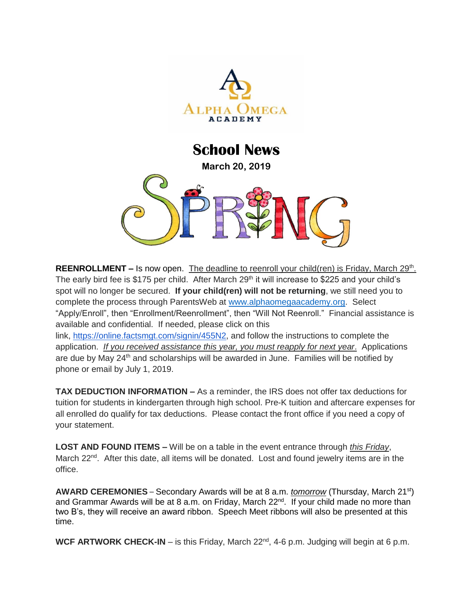

## **School News March 20, 2019**

REENROLLMENT - Is now open. The deadline to reenroll your child(ren) is Friday, March 29<sup>th</sup>. The early bird fee is \$175 per child. After March 29<sup>th</sup> it will increase to \$225 and your child's spot will no longer be secured. **If your child(ren) will not be returning**, we still need you to complete the process through ParentsWeb at [www.alphaomegaacademy.org.](http://www.alphaomegaacademy.org/) Select "Apply/Enroll", then "Enrollment/Reenrollment", then "Will Not Reenroll." Financial assistance is available and confidential. If needed, please click on this link, [https://online.factsmgt.com/signin/455N2,](https://online.factsmgt.com/signin/455N2) and follow the instructions to complete the application. *If you received assistance this year, you must reapply for next year*. Applications are due by May 24<sup>th</sup> and scholarships will be awarded in June. Families will be notified by phone or email by July 1, 2019.

**TAX DEDUCTION INFORMATION –** As a reminder, the IRS does not offer tax deductions for tuition for students in kindergarten through high school. Pre-K tuition and aftercare expenses for all enrolled do qualify for tax deductions. Please contact the front office if you need a copy of your statement.

**LOST AND FOUND ITEMS –** Will be on a table in the event entrance through *this Friday*, March  $22^{nd}$ . After this date, all items will be donated. Lost and found jewelry items are in the office.

**AWARD CEREMONIES** – Secondary Awards will be at 8 a.m. *tomorrow* (Thursday, March 21st) and Grammar Awards will be at 8 a.m. on Friday, March 22<sup>nd</sup>. If your child made no more than two B's, they will receive an award ribbon. Speech Meet ribbons will also be presented at this time.

**WCF ARTWORK CHECK-IN** – is this Friday, March 22<sup>nd</sup>, 4-6 p.m. Judging will begin at 6 p.m.